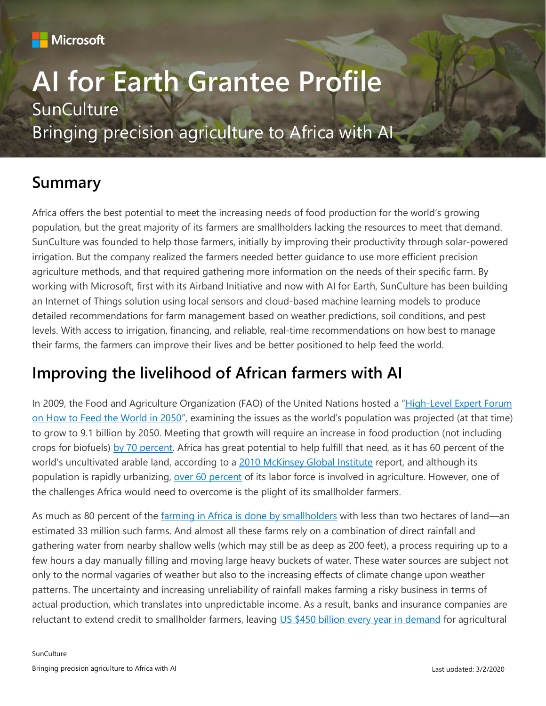

# **AI for Earth Grantee Profile SunCulture** Bringing precision agriculture to Africa with AI

### **Summary**

Africa offers the best potential to meet the increasing needs of food production for the world's growing population, but the great majority of its farmers are smallholders lacking the resources to meet that demand. SunCulture was founded to help those farmers, initially by improving their productivity through solar-powered irrigation. But the company realized the farmers needed better guidance to use more efficient precision agriculture methods, and that required gathering more information on the needs of their specific farm. By working with Microsoft, first with its Airband Initiative and now with AI for Earth, SunCulture has been building an Internet of Things solution using local sensors and cloud-based machine learning models to produce detailed recommendations for farm management based on weather predictions, soil conditions, and pest levels. With access to irrigation, financing, and reliable, real-time recommendations on how best to manage their farms, the farmers can improve their lives and be better positioned to help feed the world.

### **Improving the livelihood of African farmers with AI**

In 2009, the Food and Agriculture Organization (FAO) of the United Nations hosted a "[High-Level Expert Forum](http://www.fao.org/wsfs/forum2050/wsfs-forum/en/) [on How to Feed the World in 2050](http://www.fao.org/wsfs/forum2050/wsfs-forum/en/)", examining the issues as the world's population was projected (at that time) to grow to 9.1 billion by 2050. Meeting that growth will require an increase in food production (not including crops for biofuels) [by 70 percent.](http://www.fao.org/fileadmin/templates/wsfs/docs/expert_paper/How_to_Feed_the_World_in_2050.pdf) Africa has great potential to help fulfill that need, as it has 60 percent of the world's uncultivated arable land, according to a [2010 McKinsey Global Institute](https://www.mckinsey.com/featured-insights/middle-east-and-africa/lions-on-the-move) report, and although its population is rapidly urbanizing, [over 60 percent](https://agra.org/africas-growth-lies-with-smallholder-farmers/) of its labor force is involved in agriculture. However, one of the challenges Africa would need to overcome is the plight of its smallholder farmers.

As much as 80 percent of the farming in Africa [is done by smallholders](http://www.fao.org/fileadmin/templates/wsfs/docs/Issues_papers/HLEF2050_Africa.pdf) with less than two hectares of land—an estimated 33 million such farms. And almost all these farms rely on a combination of direct rainfall and gathering water from nearby shallow wells (which may still be as deep as 200 feet), a process requiring up to a few hours a day manually filling and moving large heavy buckets of water. These water sources are subject not only to the normal vagaries of weather but also to the increasing effects of climate change upon weather patterns. The uncertainty and increasing unreliability of rainfall makes farming a risky business in terms of actual production, which translates into unpredictable income. As a result, banks and insurance companies are reluctant to extend credit to smallholder farmers, leaving US \$450 [billion every year in demand](https://ag4impact.org/sid/socio-economic-intensification/creating-enabling-environments-2/agricultural-finance/) for agricultural

**SunCulture**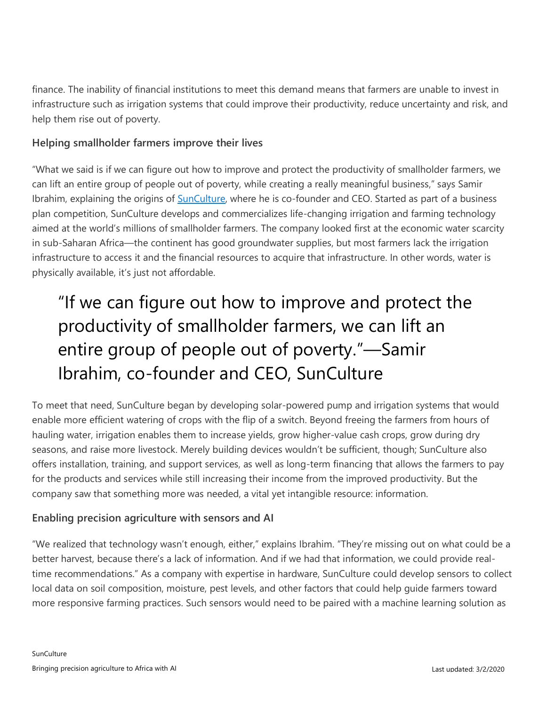finance. The inability of financial institutions to meet this demand means that farmers are unable to invest in infrastructure such as irrigation systems that could improve their productivity, reduce uncertainty and risk, and help them rise out of poverty.

#### **Helping smallholder farmers improve their lives**

"What we said is if we can figure out how to improve and protect the productivity of smallholder farmers, we can lift an entire group of people out of poverty, while creating a really meaningful business," says Samir Ibrahim, explaining the origins of [SunCulture,](http://www.sunculture.com/) where he is co-founder and CEO. Started as part of a business plan competition, SunCulture develops and commercializes life-changing irrigation and farming technology aimed at the world's millions of smallholder farmers. The company looked first at the economic water scarcity in sub-Saharan Africa—the continent has good groundwater supplies, but most farmers lack the irrigation infrastructure to access it and the financial resources to acquire that infrastructure. In other words, water is physically available, it's just not affordable.

## "If we can figure out how to improve and protect the productivity of smallholder farmers, we can lift an entire group of people out of poverty."—Samir Ibrahim, co-founder and CEO, SunCulture

To meet that need, SunCulture began by developing solar-powered pump and irrigation systems that would enable more efficient watering of crops with the flip of a switch. Beyond freeing the farmers from hours of hauling water, irrigation enables them to increase yields, grow higher-value cash crops, grow during dry seasons, and raise more livestock. Merely building devices wouldn't be sufficient, though; SunCulture also offers installation, training, and support services, as well as long-term financing that allows the farmers to pay for the products and services while still increasing their income from the improved productivity. But the company saw that something more was needed, a vital yet intangible resource: information.

#### **Enabling precision agriculture with sensors and AI**

"We realized that technology wasn't enough, either," explains Ibrahim. "They're missing out on what could be a better harvest, because there's a lack of information. And if we had that information, we could provide realtime recommendations." As a company with expertise in hardware, SunCulture could develop sensors to collect local data on soil composition, moisture, pest levels, and other factors that could help guide farmers toward more responsive farming practices. Such sensors would need to be paired with a machine learning solution as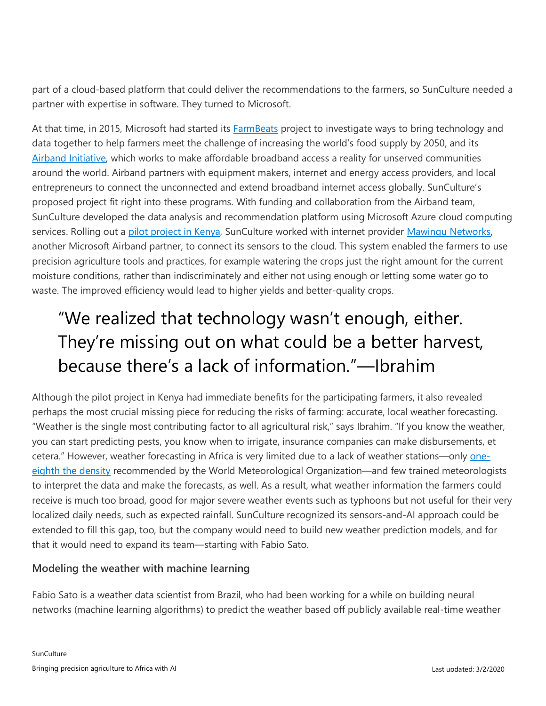part of a cloud-based platform that could deliver the recommendations to the farmers, so SunCulture needed a partner with expertise in software. They turned to Microsoft.

At that time, in 2015, Microsoft had started its [FarmBeats](https://www.microsoft.com/en-us/research/project/farmbeats-iot-agriculture/) project to investigate ways to bring technology and data together to help farmers meet the challenge of increasing the world's food supply by 2050, and its [Airband Initiative,](https://www.microsoft.com/en-us/corporate-responsibility/airband) which works to make affordable broadband access a reality for unserved communities around the world. Airband partners with equipment makers, internet and energy access providers, and local entrepreneurs to connect the unconnected and extend broadband internet access globally. SunCulture's proposed project fit right into these programs. With funding and collaboration from the Airband team, SunCulture developed the data analysis and recommendation platform using Microsoft Azure cloud computing services. Rolling out a [pilot project in Kenya,](http://download.microsoft.com/download/6/C/9/6C955541-5053-4A1C-BF0E-22F3BA34CE0F/Microsoft_Airband_SunCulture_CaseStudy.pdf) SunCulture worked with internet provider [Mawingu Networks,](https://news.microsoft.com/features/empowering-kenya-and-the-world-with-high-speed-low-cost-internet/) another Microsoft Airband partner, to connect its sensors to the cloud. This system enabled the farmers to use precision agriculture tools and practices, for example watering the crops just the right amount for the current moisture conditions, rather than indiscriminately and either not using enough or letting some water go to waste. The improved efficiency would lead to higher yields and better-quality crops.

## "We realized that technology wasn't enough, either. They're missing out on what could be a better harvest, because there's a lack of information."—Ibrahim

Although the pilot project in Kenya had immediate benefits for the participating farmers, it also revealed perhaps the most crucial missing piece for reducing the risks of farming: accurate, local weather forecasting. "Weather is the single most contributing factor to all agricultural risk," says Ibrahim. "If you know the weather, you can start predicting pests, you know when to irrigate, insurance companies can make disbursements, et cetera." However, weather forecasting in Africa is very limited due to a lack of weather stations—only [one](https://www.worldbank.org/en/region/afr/brief/hydromet-in-africa)eighth [the density](https://www.worldbank.org/en/region/afr/brief/hydromet-in-africa) recommended by the World Meteorological Organization—and few trained meteorologists to interpret the data and make the forecasts, as well. As a result, what weather information the farmers could receive is much too broad, good for major severe weather events such as typhoons but not useful for their very localized daily needs, such as expected rainfall. SunCulture recognized its sensors-and-AI approach could be extended to fill this gap, too, but the company would need to build new weather prediction models, and for that it would need to expand its team—starting with Fabio Sato.

#### **Modeling the weather with machine learning**

Fabio Sato is a weather data scientist from Brazil, who had been working for a while on building neural networks (machine learning algorithms) to predict the weather based off publicly available real-time weather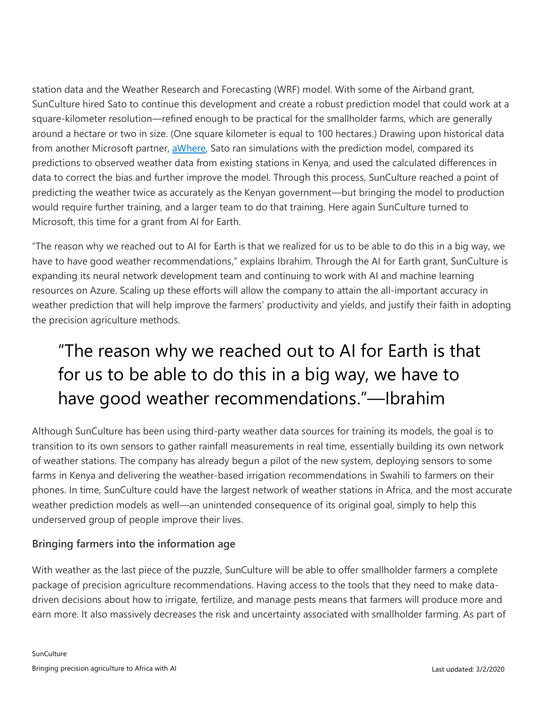station data and the Weather Research and Forecasting (WRF) model. With some of the Airband grant, SunCulture hired Sato to continue this development and create a robust prediction model that could work at a square-kilometer resolution—refined enough to be practical for the smallholder farms, which are generally around a hectare or two in size. (One square kilometer is equal to 100 hectares.) Drawing upon historical data from another Microsoft partner, [aWhere,](https://www.awhere.com/) Sato ran simulations with the prediction model, compared its predictions to observed weather data from existing stations in Kenya, and used the calculated differences in data to correct the bias and further improve the model. Through this process, SunCulture reached a point of predicting the weather twice as accurately as the Kenyan government—but bringing the model to production would require further training, and a larger team to do that training. Here again SunCulture turned to Microsoft, this time for a grant from AI for Earth.

"The reason why we reached out to AI for Earth is that we realized for us to be able to do this in a big way, we have to have good weather recommendations," explains Ibrahim. Through the AI for Earth grant, SunCulture is expanding its neural network development team and continuing to work with AI and machine learning resources on Azure. Scaling up these efforts will allow the company to attain the all-important accuracy in weather prediction that will help improve the farmers' productivity and yields, and justify their faith in adopting the precision agriculture methods.

## "The reason why we reached out to AI for Earth is that for us to be able to do this in a big way, we have to have good weather recommendations."—Ibrahim

Although SunCulture has been using third-party weather data sources for training its models, the goal is to transition to its own sensors to gather rainfall measurements in real time, essentially building its own network of weather stations. The company has already begun a pilot of the new system, deploying sensors to some farms in Kenya and delivering the weather-based irrigation recommendations in Swahili to farmers on their phones. In time, SunCulture could have the largest network of weather stations in Africa, and the most accurate weather prediction models as well—an unintended consequence of its original goal, simply to help this underserved group of people improve their lives.

#### **Bringing farmers into the information age**

With weather as the last piece of the puzzle, SunCulture will be able to offer smallholder farmers a complete package of precision agriculture recommendations. Having access to the tools that they need to make datadriven decisions about how to irrigate, fertilize, and manage pests means that farmers will produce more and earn more. It also massively decreases the risk and uncertainty associated with smallholder farming. As part of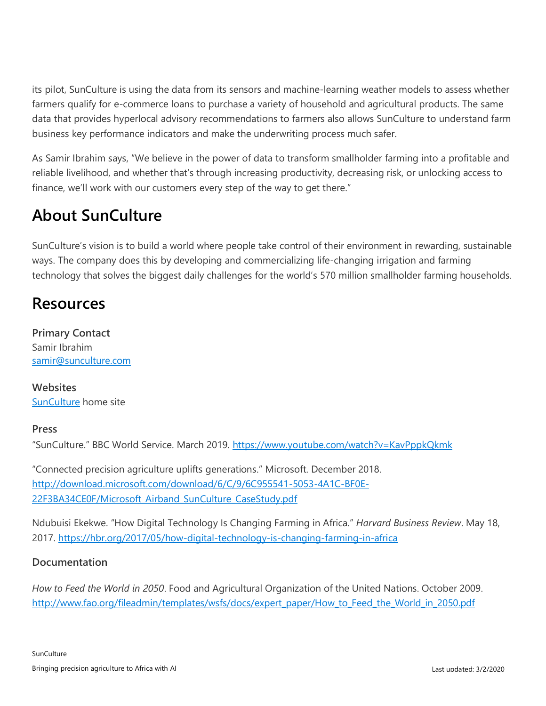its pilot, SunCulture is using the data from its sensors and machine-learning weather models to assess whether farmers qualify for e-commerce loans to purchase a variety of household and agricultural products. The same data that provides hyperlocal advisory recommendations to farmers also allows SunCulture to understand farm business key performance indicators and make the underwriting process much safer.

As Samir Ibrahim says, "We believe in the power of data to transform smallholder farming into a profitable and reliable livelihood, and whether that's through increasing productivity, decreasing risk, or unlocking access to finance, we'll work with our customers every step of the way to get there."

## **About SunCulture**

SunCulture's vision is to build a world where people take control of their environment in rewarding, sustainable ways. The company does this by developing and commercializing life-changing irrigation and farming technology that solves the biggest daily challenges for the world's 570 million smallholder farming households.

### **Resources**

**Primary Contact** Samir Ibrahim [samir@sunculture.com](mailto:samir@sunculture.com)

**Websites** [SunCulture](http://www.sunculture.com/) home site

#### **Press**

"SunCulture." BBC World Service. March 2019.<https://www.youtube.com/watch?v=KavPppkQkmk>

"Connected precision agriculture uplifts generations." Microsoft. December 2018. [http://download.microsoft.com/download/6/C/9/6C955541-5053-4A1C-BF0E-](http://download.microsoft.com/download/6/C/9/6C955541-5053-4A1C-BF0E-22F3BA34CE0F/Microsoft_Airband_SunCulture_CaseStudy.pdf)22F3BA34CE0F/Microsoft Airband SunCulture CaseStudy.pdf

Ndubuisi Ekekwe. "How Digital Technology Is Changing Farming in Africa." *Harvard Business Review*. May 18, 2017.<https://hbr.org/2017/05/how-digital-technology-is-changing-farming-in-africa>

#### **Documentation**

*How to Feed the World in 2050*. Food and Agricultural Organization of the United Nations. October 2009. [http://www.fao.org/fileadmin/templates/wsfs/docs/expert\\_paper/How\\_to\\_Feed\\_the\\_World\\_in\\_2050.pdf](http://www.fao.org/fileadmin/templates/wsfs/docs/expert_paper/How_to_Feed_the_World_in_2050.pdf)